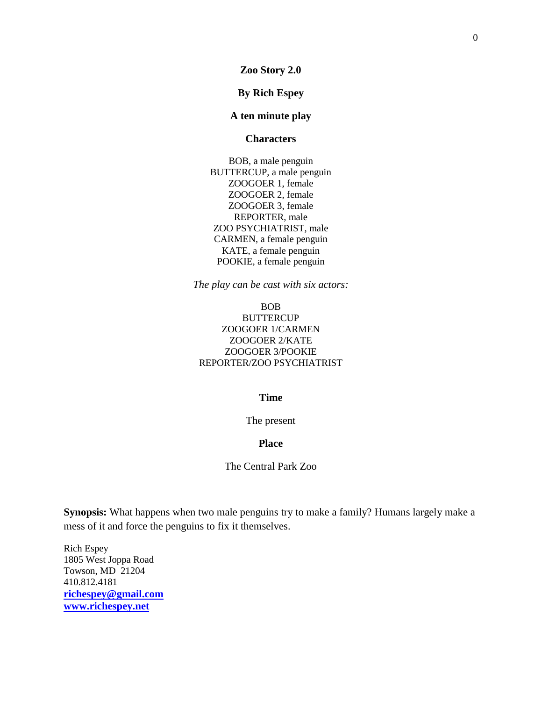**Zoo Story 2.0**

# **By Rich Espey**

# **A ten minute play**

#### **Characters**

BOB, a male penguin BUTTERCUP, a male penguin ZOOGOER 1, female ZOOGOER 2, female ZOOGOER 3, female REPORTER, male ZOO PSYCHIATRIST, male CARMEN, a female penguin KATE, a female penguin POOKIE, a female penguin

*The play can be cast with six actors:*

# BOB **BUTTERCUP** ZOOGOER 1/CARMEN ZOOGOER 2/KATE ZOOGOER 3/POOKIE REPORTER/ZOO PSYCHIATRIST

# **Time**

The present

# **Place**

The Central Park Zoo

**Synopsis:** What happens when two male penguins try to make a family? Humans largely make a mess of it and force the penguins to fix it themselves.

Rich Espey 1805 West Joppa Road Towson, MD 21204 410.812.4181 **[richespey@gmail.com](mailto:richespey@gmail.com) [www.richespey.net](http://www.richespey.net/)**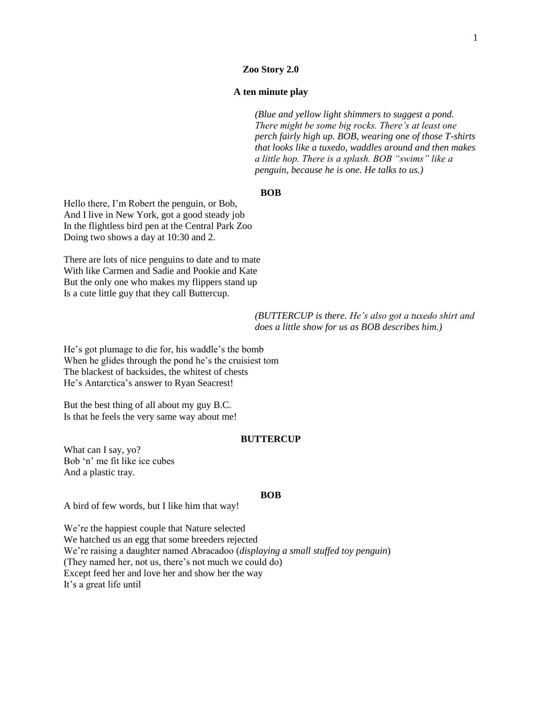#### **Zoo Story 2.0**

# **A ten minute play**

*(Blue and yellow light shimmers to suggest a pond. There might be some big rocks. There's at least one perch fairly high up. BOB, wearing one of those T-shirts that looks like a tuxedo, waddles around and then makes a little hop. There is a splash. BOB "swims" like a penguin, because he is one. He talks to us.)*

# **BOB**

Hello there, I'm Robert the penguin, or Bob, And I live in New York, got a good steady job In the flightless bird pen at the Central Park Zoo Doing two shows a day at 10:30 and 2.

There are lots of nice penguins to date and to mate With like Carmen and Sadie and Pookie and Kate But the only one who makes my flippers stand up Is a cute little guy that they call Buttercup.

> *(BUTTERCUP is there. He's also got a tuxedo shirt and does a little show for us as BOB describes him.)*

He's got plumage to die for, his waddle's the bomb When he glides through the pond he"s the cruisiest tom The blackest of backsides, the whitest of chests He's Antarctica's answer to Ryan Seacrest!

But the best thing of all about my guy B.C. Is that he feels the very same way about me!

## **BUTTERCUP**

What can I say, yo? Bob "n" me fit like ice cubes And a plastic tray.

#### **BOB**

A bird of few words, but I like him that way!

We"re the happiest couple that Nature selected We hatched us an egg that some breeders rejected We"re raising a daughter named Abracadoo (*displaying a small stuffed toy penguin*) (They named her, not us, there's not much we could do) Except feed her and love her and show her the way It"s a great life until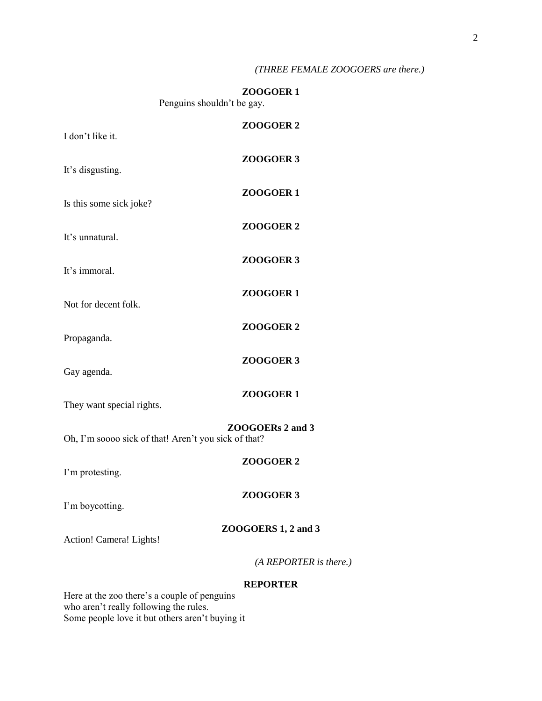# *(THREE FEMALE ZOOGOERS are there.)*

# **ZOOGOER 1**

Penguins shouldn"t be gay.

| I don't like it.                                     | ZOOGOER <sub>2</sub>   |
|------------------------------------------------------|------------------------|
| It's disgusting.                                     | ZOOGOER 3              |
| Is this some sick joke?                              | ZOOGOER1               |
|                                                      | ZOOGOER <sub>2</sub>   |
| It's unnatural.                                      | ZOOGOER 3              |
| It's immoral.                                        | ZOOGOER <sub>1</sub>   |
| Not for decent folk.                                 | ZOOGOER <sub>2</sub>   |
| Propaganda.                                          | ZOOGOER 3              |
| Gay agenda.                                          |                        |
| They want special rights.                            | ZOOGOER <sub>1</sub>   |
| Oh, I'm soooo sick of that! Aren't you sick of that? | ZOOGOERs 2 and 3       |
| I'm protesting.                                      | ZOOGOER <sub>2</sub>   |
| I'm boycotting.                                      | ZOOGOER 3              |
| Action! Camera! Lights!                              | ZOOGOERS 1, 2 and 3    |
|                                                      | (A REPORTER is there.) |
|                                                      | <b>REPORTER</b>        |

Here at the zoo there's a couple of penguins who aren't really following the rules. Some people love it but others aren"t buying it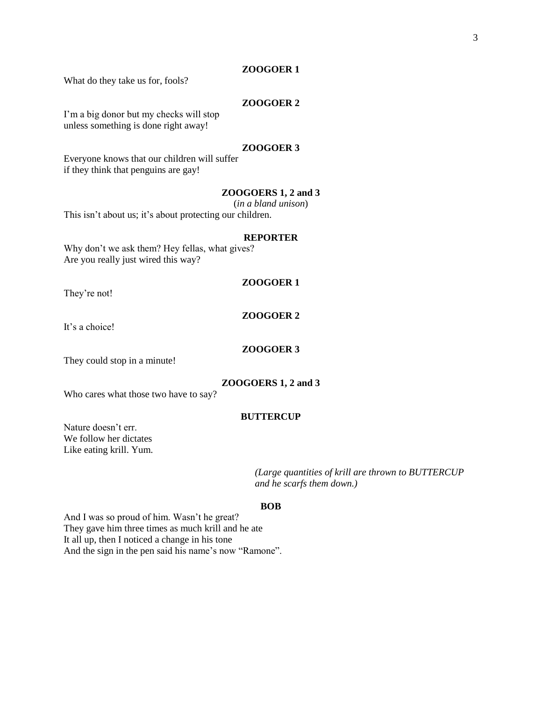#### **ZOOGOER 1**

What do they take us for, fools?

# **ZOOGOER 2**

I'm a big donor but my checks will stop unless something is done right away!

#### **ZOOGOER 3**

Everyone knows that our children will suffer if they think that penguins are gay!

# **ZOOGOERS 1, 2 and 3**

(*in a bland unison*)

This isn't about us; it's about protecting our children.

#### **REPORTER**

Why don't we ask them? Hey fellas, what gives? Are you really just wired this way?

#### **ZOOGOER 1**

They're not!

# **ZOOGOER 2**

It's a choice!

#### **ZOOGOER 3**

They could stop in a minute!

#### **ZOOGOERS 1, 2 and 3**

Who cares what those two have to say?

#### **BUTTERCUP**

Nature doesn"t err. We follow her dictates Like eating krill. Yum.

> *(Large quantities of krill are thrown to BUTTERCUP and he scarfs them down.)*

#### **BOB**

And I was so proud of him. Wasn"t he great? They gave him three times as much krill and he ate It all up, then I noticed a change in his tone And the sign in the pen said his name's now "Ramone".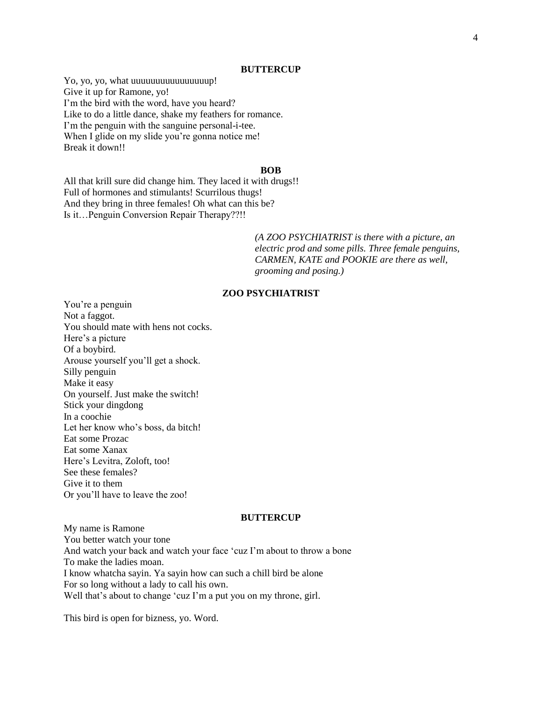#### **BUTTERCUP**

Yo, yo, yo, what uuuuuuuuuuuuuuuup! Give it up for Ramone, yo! I'm the bird with the word, have you heard? Like to do a little dance, shake my feathers for romance. I'm the penguin with the sanguine personal-i-tee. When I glide on my slide you're gonna notice me! Break it down!!

#### **BOB**

All that krill sure did change him. They laced it with drugs!! Full of hormones and stimulants! Scurrilous thugs! And they bring in three females! Oh what can this be? Is it…Penguin Conversion Repair Therapy??!!

> *(A ZOO PSYCHIATRIST is there with a picture, an electric prod and some pills. Three female penguins, CARMEN, KATE and POOKIE are there as well, grooming and posing.)*

# **ZOO PSYCHIATRIST**

You"re a penguin Not a faggot. You should mate with hens not cocks. Here's a picture Of a boybird. Arouse yourself you"ll get a shock. Silly penguin Make it easy On yourself. Just make the switch! Stick your dingdong In a coochie Let her know who"s boss, da bitch! Eat some Prozac Eat some Xanax Here"s Levitra, Zoloft, too! See these females? Give it to them Or you"ll have to leave the zoo!

# **BUTTERCUP**

My name is Ramone You better watch your tone And watch your back and watch your face "cuz I"m about to throw a bone To make the ladies moan. I know whatcha sayin. Ya sayin how can such a chill bird be alone For so long without a lady to call his own. Well that's about to change 'cuz I'm a put you on my throne, girl.

This bird is open for bizness, yo. Word.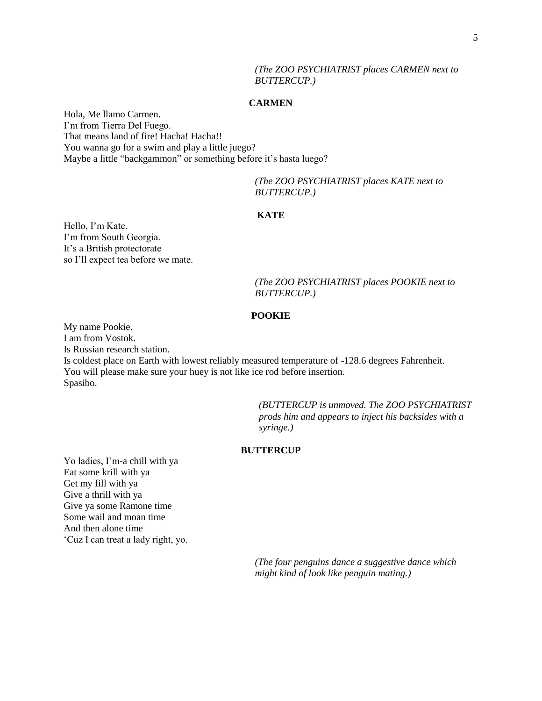# *(The ZOO PSYCHIATRIST places CARMEN next to BUTTERCUP.)*

#### **CARMEN**

Hola, Me llamo Carmen. I"m from Tierra Del Fuego. That means land of fire! Hacha! Hacha!! You wanna go for a swim and play a little juego? Maybe a little "backgammon" or something before it's hasta luego?

> *(The ZOO PSYCHIATRIST places KATE next to BUTTERCUP.)*

# **KATE**

Hello, I'm Kate. I"m from South Georgia. It"s a British protectorate so I"ll expect tea before we mate.

> *(The ZOO PSYCHIATRIST places POOKIE next to BUTTERCUP.)*

# **POOKIE**

My name Pookie. I am from Vostok. Is Russian research station. Is coldest place on Earth with lowest reliably measured temperature of -128.6 degrees Fahrenheit. You will please make sure your huey is not like ice rod before insertion. Spasibo.

> *(BUTTERCUP is unmoved. The ZOO PSYCHIATRIST prods him and appears to inject his backsides with a syringe.)*

# **BUTTERCUP**

Yo ladies, I'm-a chill with ya Eat some krill with ya Get my fill with ya Give a thrill with ya Give ya some Ramone time Some wail and moan time And then alone time "Cuz I can treat a lady right, yo.

> *(The four penguins dance a suggestive dance which might kind of look like penguin mating.)*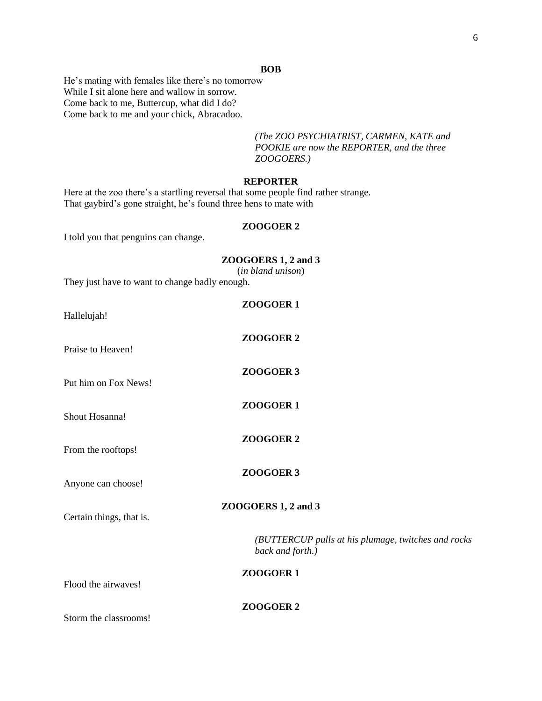#### **BOB**

He's mating with females like there's no tomorrow While I sit alone here and wallow in sorrow. Come back to me, Buttercup, what did I do? Come back to me and your chick, Abracadoo.

> *(The ZOO PSYCHIATRIST, CARMEN, KATE and POOKIE are now the REPORTER, and the three ZOOGOERS.)*

## **REPORTER**

Here at the zoo there's a startling reversal that some people find rather strange. That gaybird's gone straight, he's found three hens to mate with

#### **ZOOGOER 2**

I told you that penguins can change.

# **ZOOGOERS 1, 2 and 3** (*in bland unison*) They just have to want to change badly enough. **ZOOGOER 1** Hallelujah! **ZOOGOER 2** Praise to Heaven! **ZOOGOER 3** Put him on Fox News! **ZOOGOER 1** Shout Hosanna! **ZOOGOER 2** From the rooftops! **ZOOGOER 3** Anyone can choose! **ZOOGOERS 1, 2 and 3** Certain things, that is. *(BUTTERCUP pulls at his plumage, twitches and rocks back and forth.)* **ZOOGOER 1** Flood the airwaves!

| ZOOGOER <sub>2</sub> |  |
|----------------------|--|
|----------------------|--|

Storm the classrooms!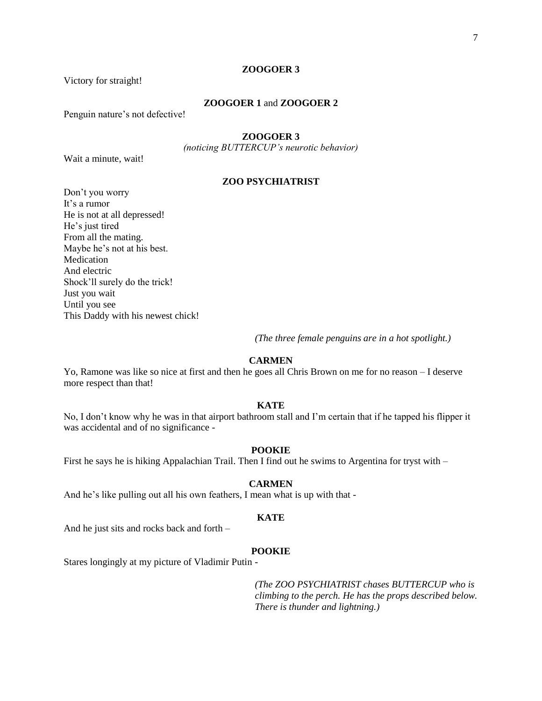#### **ZOOGOER 3**

Victory for straight!

## **ZOOGOER 1** and **ZOOGOER 2**

Penguin nature's not defective!

# **ZOOGOER 3**

*(noticing BUTTERCUP's neurotic behavior)*

Wait a minute, wait!

# **ZOO PSYCHIATRIST**

Don"t you worry It's a rumor He is not at all depressed! He's just tired From all the mating. Maybe he"s not at his best. Medication And electric Shock"ll surely do the trick! Just you wait Until you see This Daddy with his newest chick!

*(The three female penguins are in a hot spotlight.)*

# **CARMEN**

Yo, Ramone was like so nice at first and then he goes all Chris Brown on me for no reason – I deserve more respect than that!

#### **KATE**

No, I don"t know why he was in that airport bathroom stall and I"m certain that if he tapped his flipper it was accidental and of no significance -

#### **POOKIE**

First he says he is hiking Appalachian Trail. Then I find out he swims to Argentina for tryst with –

#### **CARMEN**

And he's like pulling out all his own feathers, I mean what is up with that -

# **KATE**

And he just sits and rocks back and forth –

#### **POOKIE**

Stares longingly at my picture of Vladimir Putin -

*(The ZOO PSYCHIATRIST chases BUTTERCUP who is climbing to the perch. He has the props described below. There is thunder and lightning.)*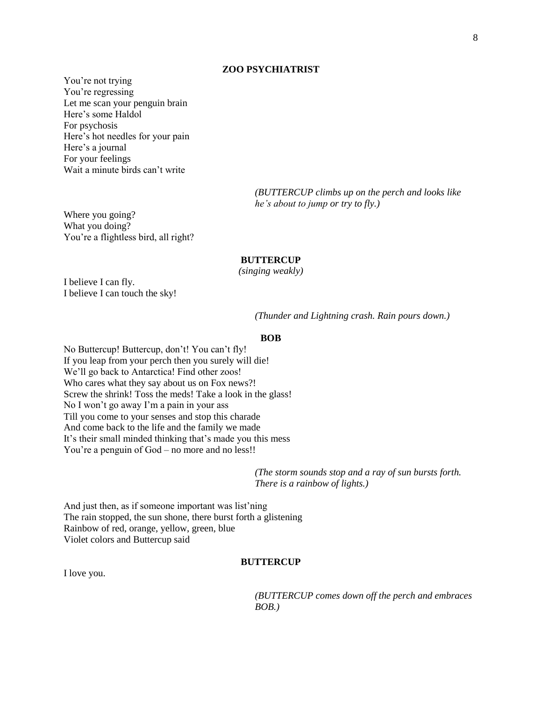#### **ZOO PSYCHIATRIST**

You're not trying You're regressing Let me scan your penguin brain Here"s some Haldol For psychosis Here"s hot needles for your pain Here's a journal For your feelings Wait a minute birds can't write

> *(BUTTERCUP climbs up on the perch and looks like he's about to jump or try to fly.)*

Where you going? What you doing? You're a flightless bird, all right?

#### **BUTTERCUP**

*(singing weakly)*

I believe I can fly. I believe I can touch the sky!

*(Thunder and Lightning crash. Rain pours down.)*

# **BOB**

No Buttercup! Buttercup, don"t! You can"t fly! If you leap from your perch then you surely will die! We"ll go back to Antarctica! Find other zoos! Who cares what they say about us on Fox news?! Screw the shrink! Toss the meds! Take a look in the glass! No I won"t go away I"m a pain in your ass Till you come to your senses and stop this charade And come back to the life and the family we made It's their small minded thinking that's made you this mess You're a penguin of God – no more and no less!!

> *(The storm sounds stop and a ray of sun bursts forth. There is a rainbow of lights.)*

And just then, as if someone important was list'ning The rain stopped, the sun shone, there burst forth a glistening Rainbow of red, orange, yellow, green, blue Violet colors and Buttercup said

# **BUTTERCUP**

I love you.

*(BUTTERCUP comes down off the perch and embraces BOB.)*